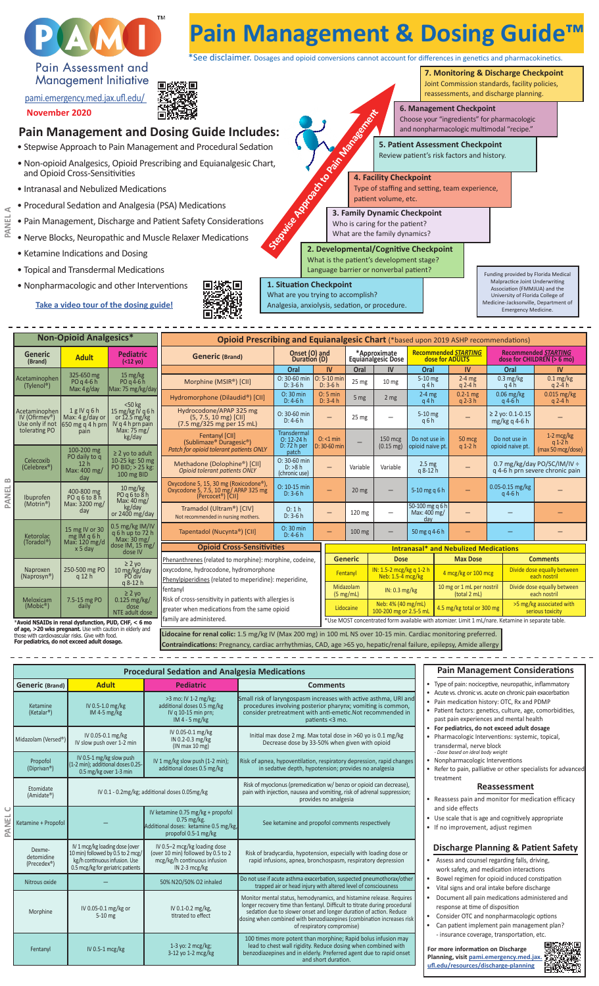

100 times more potent than morphine; Rapid bolus infusion may lead to chest wall rigidity. Reduce dosing when combined with benzodiazepines and in elderly. Preferred agent due to rapid onset and short duration.

Fentanyl IV 0.5-1 mcg/kg 1-3 yo: 2 mcg/kg; 3-12 yo 1-2 mcg/kg

**PANEL A**

**PANEL B**

**PANEL** 

• Consider OTC and nonpharmacologic options • Can patient implement pain management plan? - insurance coverage, transportation, etc.

**For more information on Discharge Planning, visit pami.emergency.med.jax. ufl.edu/resources/discharge-planning**